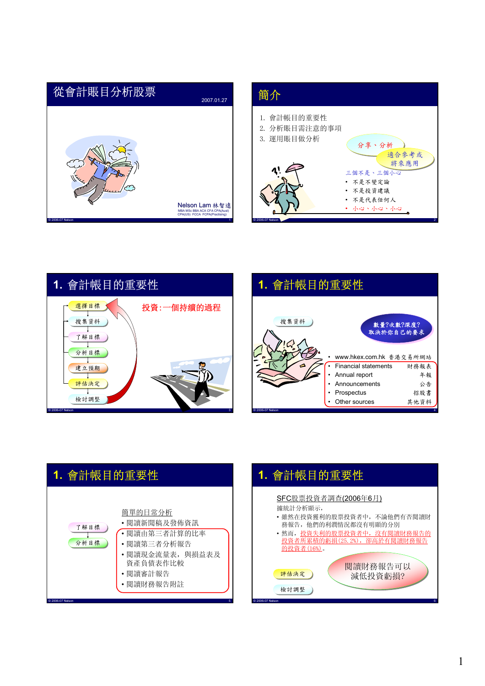# © 2006-07 Nelson 1 從會計賬目分析股票 2007.01.27 Nelson Lam 林智遠 MBA MSc BBA ACA CFA CPA(Aust) CPA(US) FCCA FCPA(Practising)

#### 簡介



© 2006-07 Nelson 2







© 2006-07 Nelson 5

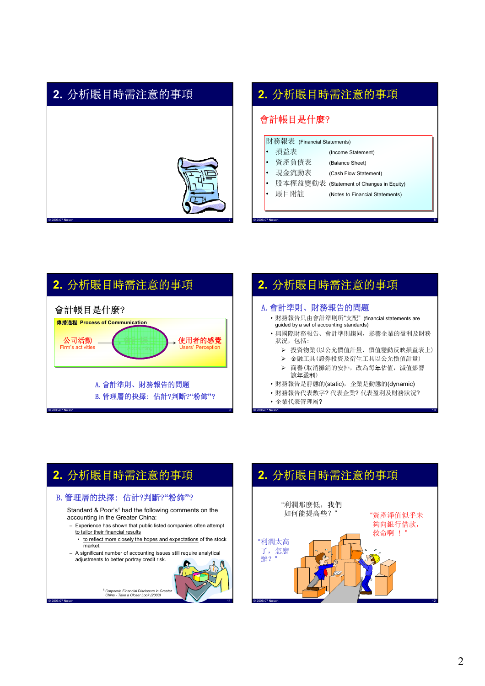#### **2.** 分析賬目時需注意的事項



#### **2.** 分析賬目時需注意的事項

#### 會計帳目是什麼?

|       |     | 財務報表 (Financial Statements) |
|-------|-----|-----------------------------|
| i e i | 損益表 | (Income Statement)          |

|           | • 資產負債表 | (Balance Sheet)                          |
|-----------|---------|------------------------------------------|
|           | • 現金流動表 | (Cash Flow Statement)                    |
| $\bullet$ |         | 股本權益變動表 (Statement of Changes in Equity) |
| l.        | 賬目附註    | (Notes to Financial Statements)          |
|           |         |                                          |

© 2006-07 Nelson 8



# **2.** 分析賬目時需注意的事項

#### A.會計準則、財務報告的問題

- 財務報告只由會計準則所"支配" (financial statements are guided by a set of accounting standards)
- 與國際財務報告、會計準則趨同,影響企業的盈利及財務 狀況, 包括:
	- ¾ 投資物業(以公允價值計量,價值變動反映損益表上)
	- ¾ 金融工具(證券投資及衍生工具以公允價值計量)
	- ¾ 商譽(取消攤銷的安排,改為每年估值,減值影響 該年盈利)
- 財務報告是靜態的(static),企業是動態的(dynamic)
- 財務報告代表數字? 代表企業? 代表盈利及財務狀況?

© 2006-07 Nelson 10

• 企業代表管理層?

### **2.** 分析賬目時需注意的事項

#### B.管理層的抉擇: 估計?判斷?**"**粉飾**"**?

Standard & Poor's<sup>1</sup> had the following comments on the accounting in the Greater China:

- Experience has shown that public listed companies often attempt to tailor their financial results
	- to reflect more closely the hopes and expectations of the stock market.
- A significant number of accounting issues still require analytical adjustments to better portray credit risk.



### **2.** 分析賬目時需注意的事項



<sup>1</sup> Corporate Financial Disclosure in Greate *China - Take a Closer Look (2003)*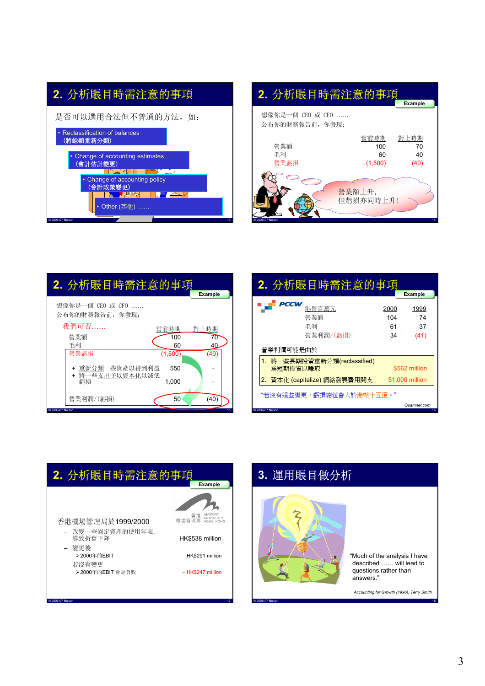# **2.** 分析賬目時需注意的事項



#### **2.** 分析賬目時需注意的事項 **Example Example**

| 想像你是一個 CEO 或 CFO<br>公布你的財務報告前, 你發現: |                              |                          |
|-------------------------------------|------------------------------|--------------------------|
| 營業額<br>手利<br>營業虧損                   | 當前時期<br>100<br>60<br>(1,500) | 對上時期<br>70<br>40<br>(40) |
| C 2006-07 Nelson                    | 營業額上升,<br>但虧損亦同時上升!          | 14                       |

| 2. 分析賬目時需注意的事項        |         |                |
|-----------------------|---------|----------------|
|                       |         | <b>Example</b> |
| 想像你是一個 CEO 或 CFO      |         |                |
| 公布你的財務報告前, 你發現:       |         |                |
| 我們可否                  | 當前時期    | 對上時期           |
| 營業額                   | 100     | 70             |
| 手利                    | 60      | 40             |
| 營業虧損                  | (1,500) | (40)           |
| + 重新分類一些資產以得到利益       | 550     |                |
| + 將一些支出予以資本化以減低<br>虧損 | 1,000   |                |
| 營業利潤/(虧損)             | 50      | (40)           |
| C 2006-07 Nelson      |         | 15             |

| 2. 分析賬目時需注意的事項                           |                         |                          |
|------------------------------------------|-------------------------|--------------------------|
|                                          |                         | <b>Example</b>           |
| PCCW<br>港幣百萬元<br>營業額<br>手利<br>營業利潤/(虧損)  | 2000<br>104<br>61<br>34 | 1999<br>74<br>37<br>(41) |
| 營業利潤可能是由於                                |                         |                          |
| 1. 將一些長期投資重新分類(reclassified)<br>爲短期投資以賺取 |                         | \$562 million            |
| 2. 資本化 (capitalize) 網絡發展費用開支             |                         | \$1,000 million          |
| "若沒有這些變更,虧損總值會大於港幣十五億。"                  |                         |                          |
| © 2006-07 Nelson                         |                         | Quamnet.com<br>16        |



#### **3.** 運用賬目做分析



"Much of the analysis I have described …… will lead to questions rather than answers."

*Accounting for Growth (1996), Terry Smith*

© 2006-07 Nelson 18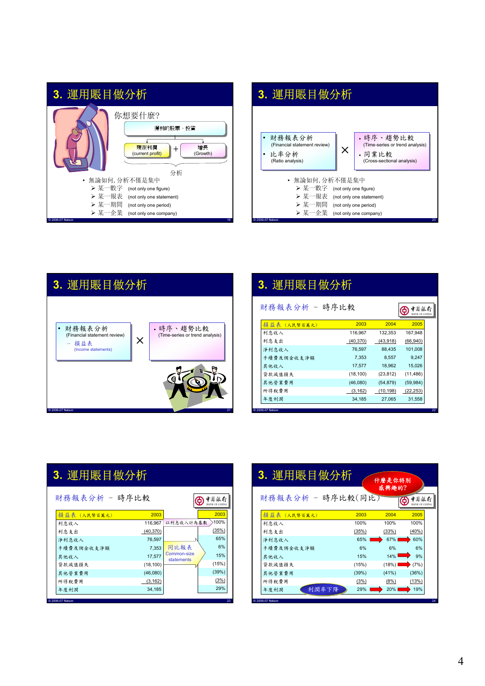

# **3.** 運用賬目做分析





| 3. 運用賬目做分析                                   |           |           |           |    |  |
|----------------------------------------------|-----------|-----------|-----------|----|--|
| 財務報表分析 - 時序比較<br>中国銀行<br><b>RANK OF CHIN</b> |           |           |           |    |  |
| 損益表 (人民幣百萬元)                                 | 2003      | 2004      | 2005      |    |  |
| 利息收入                                         | 116.967   | 132.353   | 167.948   |    |  |
| 利息支出                                         | (40, 370) | (43,918)  | (66, 940) |    |  |
| 淨利息收入                                        | 76.597    | 88.435    | 101,008   |    |  |
| 手續費及佣金收支淨額                                   | 7.353     | 8.557     | 9,247     |    |  |
| 其他收入                                         | 17,577    | 18,962    | 15,026    |    |  |
| 貸款減值損失                                       | (18, 100) | (23, 812) | (11, 486) |    |  |
| 其他營業費用                                       | (46,080)  | (54, 879) | (59, 984) |    |  |
| 所得稅費用                                        | (3, 162)  | (10, 198) | (22, 253) |    |  |
| 年度利潤                                         | 34.185    | 27.065    | 31,558    |    |  |
| C 2006-07 Nelson                             |           |           |           | 22 |  |

| 3. 運用賬目做分析     |           |                                  |                             |  |  |
|----------------|-----------|----------------------------------|-----------------------------|--|--|
| 財務報表分析 - 時序比較  |           |                                  | 中国銀行<br><b>BANK OF CHIN</b> |  |  |
| 損益表 (人民幣百萬元)   | 2003      |                                  | 2003                        |  |  |
| 利息收入           | 116,967   | 以利息收入計為基數                        | 100%                        |  |  |
| 利息支出           | (40, 370) |                                  | (35%)                       |  |  |
| 淨利息收入          | 76,597    |                                  | 65%                         |  |  |
| 手續費及佣金收支淨額     | 7.353     | 同比報表                             | 6%                          |  |  |
| 其他收入           | 17,577    | Common-size<br><b>statements</b> | 15%                         |  |  |
| 貸款減值損失         | (18, 100) |                                  | (15%)                       |  |  |
| 其他營業費用         | (46,080)  |                                  | (39%)                       |  |  |
| 所得稅費用          | (3, 162)  |                                  | (3%)                        |  |  |
| 年度利潤           | 34,185    |                                  | 29%                         |  |  |
| 2006-07 Nelson |           |                                  | 23                          |  |  |

| 3. 運用賬目做分析        |       | 什麼是你特別 |       |
|-------------------|-------|--------|-------|
| 財務報表分析 - 時序比較(同比) |       | 威興趣的?  | 中国銀行  |
| 損益表 (人民幣百萬元)      | 2003  | 2004   | 2005  |
| 利息收入              | 100%  | 100%   | 100%  |
| 利息支出              | (35%) | (33%)  | (40%) |
| 淨利息收入             | 65%   | 67%    | 60%   |
| 手續費及佣金收支淨額        | 6%    | 6%     | 6%    |
| 其他收入              | 15%   | 14%    | 9%    |
| 貸款減值損失            | (15%) | (18%)  | (7%)  |
| 其他營業費用            | (39%) | (41%)  | (36%) |
| 所得稅費用             | (3%)  | (8%)   | (13%) |
| 利潤率下降<br>年度利潤     | 29%   | 20%    | 19%   |
| C 2006-07 Nelson  |       |        |       |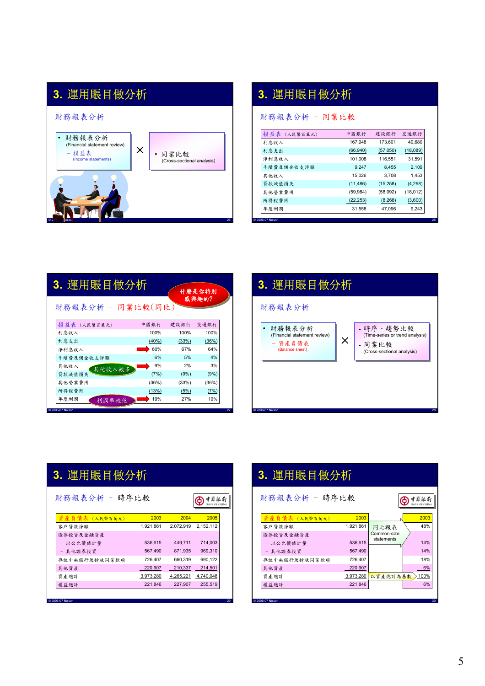

# **3.** 運用賬目做分析

財務報表分析 - 同業比較

| 中國銀行      |          |          |
|-----------|----------|----------|
|           | 建設銀行     | 交通銀行     |
| 167.948   | 173.601  | 49.680   |
| (66, 940) | (57,050) | (18,089) |
| 101.008   | 116.551  | 31,591   |
| 9,247     | 8,455    | 2,109    |
| 15.026    | 3.708    | 1.453    |
| (11, 486) | (15,258) | (4, 298) |
| (59, 984) | (58,092) | (18,012) |
| (22, 253) | (8,268)  | (3,600)  |
| 31,558    | 47,096   | 9,243    |
|           |          |          |

| 威興趣的?<br>財務報表分析 - 同業比較(同比)<br>損益表 (人民幣百萬元)<br>中國銀行<br>建設銀行<br>交通銀行<br>100%<br>100%<br>100%<br>利息收入<br>利息支出<br>(36%)<br>(40%)<br>(33%)<br>60%<br>64%<br>67%<br>淨利息收入<br>5%<br>4%<br>6%<br>手續費及佣金收支淨額<br>9%<br>2%<br>3%<br>其他收入<br>其他收入較多<br>貸款減值損失<br>(9%)<br>(7%)<br>(9%)<br>(36%)<br>(33%)<br>(36%)<br>其他營業費用<br>(13%)<br>(7%)<br>所得稅費用<br>(5%)<br>19%<br>19%<br>27%<br>年度利潤<br>利潤率較低 | 3. 運用賬目做分析<br>什麼是你特別 |  |  |  |  |  |
|----------------------------------------------------------------------------------------------------------------------------------------------------------------------------------------------------------------------------------------------------------------------------------------------------------------------------------------------------------------------------------------|----------------------|--|--|--|--|--|
|                                                                                                                                                                                                                                                                                                                                                                                        |                      |  |  |  |  |  |
|                                                                                                                                                                                                                                                                                                                                                                                        |                      |  |  |  |  |  |
|                                                                                                                                                                                                                                                                                                                                                                                        |                      |  |  |  |  |  |
|                                                                                                                                                                                                                                                                                                                                                                                        |                      |  |  |  |  |  |
|                                                                                                                                                                                                                                                                                                                                                                                        |                      |  |  |  |  |  |
|                                                                                                                                                                                                                                                                                                                                                                                        |                      |  |  |  |  |  |
|                                                                                                                                                                                                                                                                                                                                                                                        |                      |  |  |  |  |  |
|                                                                                                                                                                                                                                                                                                                                                                                        |                      |  |  |  |  |  |
|                                                                                                                                                                                                                                                                                                                                                                                        |                      |  |  |  |  |  |
|                                                                                                                                                                                                                                                                                                                                                                                        |                      |  |  |  |  |  |
|                                                                                                                                                                                                                                                                                                                                                                                        |                      |  |  |  |  |  |



| 3. 運用賬目做分析 |  |
|------------|--|
|            |  |

財務報表分析 - 時序比較

| <b>資產負債表(人民幣百萬元)</b> | 2003      | 2004      | 2005      |
|----------------------|-----------|-----------|-----------|
| 客戶貸款淨額               | 1.921.861 | 2.072.919 | 2.152.112 |
| 證券投資及金融資產            |           |           |           |
| - 以公允價值計量            | 536.615   | 449.711   | 714.003   |
| - 其他證券投資             | 567.490   | 871.935   | 969,310   |
| 存放中央銀行及拆放同業款項        | 726,407   | 660,319   | 690,122   |
| 其他資產                 | 220,907   | 210,337   | 214,501   |
| 資產總計                 | 3,973,280 | 4,265,221 | 4,740,048 |
| 權益總計                 | 221,846   | 227,907   | 255,519   |
|                      |           |           |           |

**●** 東島銀行

| 3. 運用賬目做分析         |           |                           |                             |  |  |
|--------------------|-----------|---------------------------|-----------------------------|--|--|
| 財務報表分析 - 時序比較      |           |                           | 中国很行<br><b>BANK OF CHIN</b> |  |  |
| 資 產 負 倩 表 (人民幣百萬元) | 2003      |                           | 2003                        |  |  |
| 客戶貸款淨額             | 1,921,861 | 同比報表                      | 48%                         |  |  |
| 證券投資及金融資產          |           | Common-size<br>statements |                             |  |  |
| - 以公允價值計量          | 536,615   |                           | 14%                         |  |  |
| - 其他證券投資           | 567,490   |                           | 14%                         |  |  |
| 存放中央銀行及拆放同業款項      | 726.407   |                           | 18%                         |  |  |
| 其他資產               | 220,907   |                           | 6%                          |  |  |
| 資產總計               | 3,973,280 | 以資產總計為基數                  | 100%                        |  |  |
| 權益總計               | 221,846   |                           | 6%                          |  |  |
| 2006-07 Nelson     |           |                           | 30                          |  |  |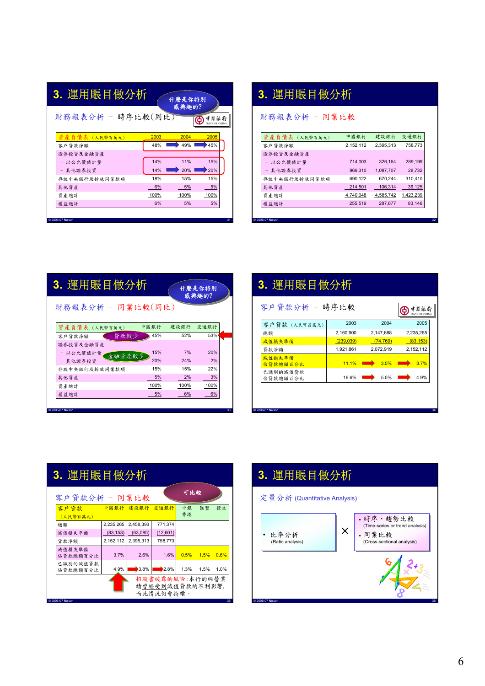財務報表分析 - 時序比較(同比)

| 感興趣的? |  |
|-------|--|
|       |  |

什麼是你特別

什麼是你特別

| <b>D</b> V 图 纸行 |
|-----------------|
| BANK OF CHINA   |

| <b>資產 負債表(人民幣百萬元)</b> | 2003 | 2004 | 2005 |
|-----------------------|------|------|------|
| 客戶貸款淨額                | 48%  | 49%  | 45%  |
| 證券投資及金融資產             |      |      |      |
| - 以公允價值計量             | 14%  | 11%  | 15%  |
| - 其他證券投資              | 14%  | 20%  | 20%  |
| 存放中央銀行及拆放同業款項         | 18%  | 15%  | 15%  |
| 其他資產                  | 6%   | 5%   | 5%   |
| 資產總計                  | 100% | 100% | 100% |
| 權益總計                  | 6%   | 5%   | 5%   |

# **3.** 運用賬目做分析

財務報表分析 - 同業比較

| 中國銀行      | 建設銀行      | 交通銀行      |
|-----------|-----------|-----------|
|           |           |           |
| 2.152.112 | 2.395.313 | 758.773   |
|           |           |           |
| 714.003   | 326.164   | 289.199   |
| 969.310   | 1.087.707 | 28,732    |
| 690.122   | 670.244   | 310.410   |
| 214.501   | 106.314   | 36,125    |
| 4,740,048 | 4,585,742 | 1,423,239 |
| 255,519   | 287.677   | 83,146    |
|           |           |           |

© 2006-07 Nelson 32

| 3. 運用賬目做分析<br>什麼是你特別<br>感興趣的? |      |      |      |  |
|-------------------------------|------|------|------|--|
| 財務報表分析 - 同業比較(同比)             |      |      |      |  |
| 資產 負債表 (人民幣百萬元)               | 中國銀行 | 建設銀行 | 交通銀行 |  |
| 貸款較少<br>客戶貸款淨額                | 45%  | 52%  | 53%  |  |
| 證券投資及金融資產                     |      |      |      |  |
| - 以公允價值計量<br>金融資產較多           | 15%  | 7%   | 20%  |  |
| - 其他證券投資                      | 20%  | 24%  | 2%   |  |
| 存放中央銀行及拆放同業款項                 | 15%  | 15%  | 22%  |  |
| 其他資產                          | 5%   | 2%   | 3%   |  |
|                               |      |      |      |  |
| 資產總計                          | 100% | 100% | 100% |  |

| 3. 運用賬目做分析<br>客戶貸款分析 - 時序比較<br>中国銀行 |           |           |           |  |  |
|-------------------------------------|-----------|-----------|-----------|--|--|
| 客戶貸款 (人民幣百萬元)                       | 2003      | 2004      | 2005      |  |  |
| 總額                                  | 2,160,900 | 2,147,688 | 2,235,265 |  |  |
| 减值損失準備                              | (239,039) | (74, 769) | (83, 153) |  |  |
| 貸款淨額                                | 1,921,861 | 2,072,919 | 2,152,112 |  |  |
| 减值損失準備<br>佔貸款總額百分比                  | 11.1%     | 3.5%      | 3.7%      |  |  |
| 已識別的滅值貸款<br>佔貸款總額百分比                | 16.6%     | 5.5%      | 4.9%      |  |  |
| 2006-07 Nelson                      |           |           |           |  |  |



# **3.** 運用賬目做分析

定量分析 (Quantitative Analysis)

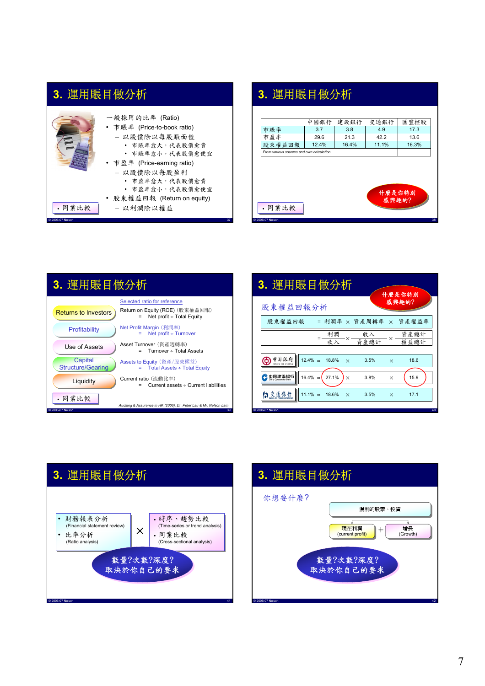|                  | 一般採用的比率 (Ratio)<br>• 市賬率 (Price-to-book ratio)<br>- 以股價除以每股賬面值<br>• 市賬率愈大,代表股價愈貴<br>• 市賬率愈小,代表股價愈便宜<br>• 市盈率 (Price-earning ratio)<br>- 以股價除以每股盈利<br>• 市盈率愈大,代表股價愈貴<br>• 市盈率愈小,代表股價愈便宜 |    |
|------------------|----------------------------------------------------------------------------------------------------------------------------------------------------------------------------------------|----|
| • 同業比較           | • 股東權益回報 (Return on equity)<br>- 以利潤除以權益                                                                                                                                               |    |
| © 2006-07 Nelson |                                                                                                                                                                                        | 37 |

## **3.** 運用賬目做分析



| 3. 運用賬目做分析                          |                                                                          |  |  |  |
|-------------------------------------|--------------------------------------------------------------------------|--|--|--|
|                                     | Selected ratio for reference                                             |  |  |  |
| <b>Returns to Investors</b>         | Return on Equity (ROE) (股東權益回報)<br>Net profit $\div$ Total Equity<br>$=$ |  |  |  |
| Profitability                       | Net Profit Margin (利潤率)<br>Net profit $\div$ Turnover                    |  |  |  |
| Use of Assets                       | Asset Turnover (資產週轉率)<br>Turnover ÷ Total Assets                        |  |  |  |
| Capital<br><b>Structure/Gearing</b> | Assets to Equity (資產/股東權益)<br>$=$ Total Assets $\div$ Total Equity       |  |  |  |
| Liquidity                           | Current ratio (流動比率)<br>Current assets $\div$ Current liabilities        |  |  |  |
| • 同業比較<br>© 2006-07 Nelson          | Auditing & Assurance in HK (2006), Dr. Peter Lau & Mr. Nelson Lam<br>39  |  |  |  |





# **3.** 運用賬目做分析